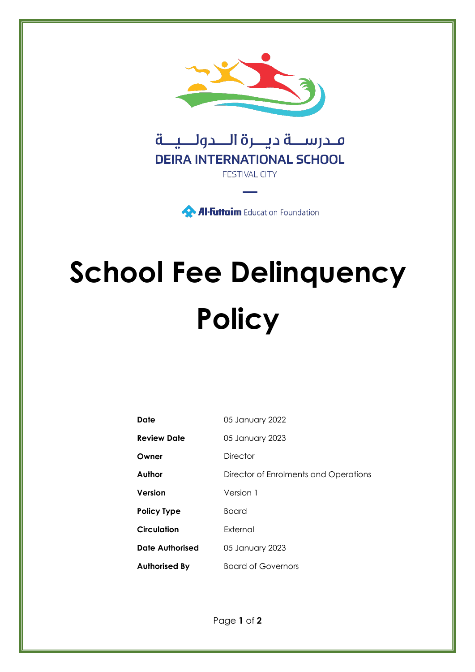

**Al-Futtaim** Education Foundation

# **School Fee Delinquency Policy**

| Date                   | 05 January 2022                       |
|------------------------|---------------------------------------|
| <b>Review Date</b>     | 05 January 2023                       |
| Owner                  | <b>Director</b>                       |
| Author                 | Director of Enrolments and Operations |
| Version                | Version 1                             |
| <b>Policy Type</b>     | <b>Board</b>                          |
| <b>Circulation</b>     | External                              |
| <b>Date Authorised</b> | 05 January 2023                       |
| <b>Authorised By</b>   | <b>Board of Governors</b>             |